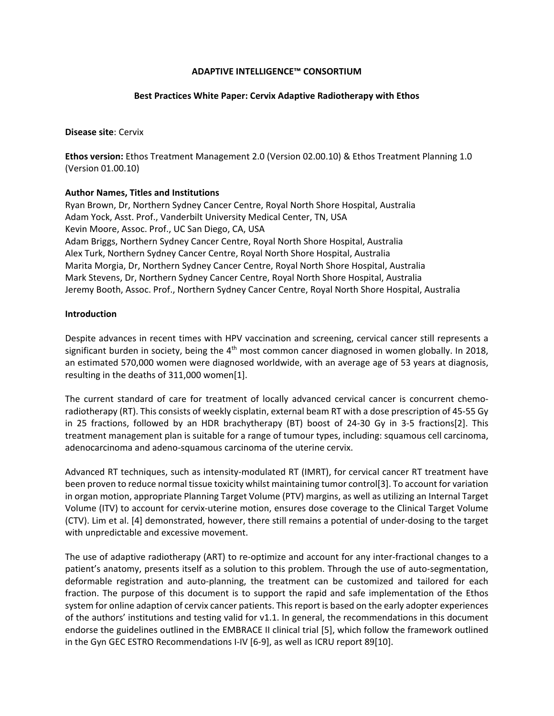## **ADAPTIVE INTELLIGENCE™ CONSORTIUM**

#### **Best Practices White Paper: Cervix Adaptive Radiotherapy with Ethos**

#### **Disease site**: Cervix

**Ethos version:** Ethos Treatment Management 2.0 (Version 02.00.10) & Ethos Treatment Planning 1.0 (Version 01.00.10)

## **Author Names, Titles and Institutions**

Ryan Brown, Dr, Northern Sydney Cancer Centre, Royal North Shore Hospital, Australia Adam Yock, Asst. Prof., Vanderbilt University Medical Center, TN, USA Kevin Moore, Assoc. Prof., UC San Diego, CA, USA Adam Briggs, Northern Sydney Cancer Centre, Royal North Shore Hospital, Australia Alex Turk, Northern Sydney Cancer Centre, Royal North Shore Hospital, Australia Marita Morgia, Dr, Northern Sydney Cancer Centre, Royal North Shore Hospital, Australia Mark Stevens, Dr, Northern Sydney Cancer Centre, Royal North Shore Hospital, Australia Jeremy Booth, Assoc. Prof., Northern Sydney Cancer Centre, Royal North Shore Hospital, Australia

## **Introduction**

Despite advances in recent times with HPV vaccination and screening, cervical cancer still represents a significant burden in society, being the  $4<sup>th</sup>$  most common cancer diagnosed in women globally. In 2018, an estimated 570,000 women were diagnosed worldwide, with an average age of 53 years at diagnosis, resulting in the deaths of 311,000 women[1].

The current standard of care for treatment of locally advanced cervical cancer is concurrent chemoradiotherapy (RT). This consists of weekly cisplatin, external beam RT with a dose prescription of 45-55 Gy in 25 fractions, followed by an HDR brachytherapy (BT) boost of 24-30 Gy in 3-5 fractions[2]. This treatment management plan is suitable for a range of tumour types, including: squamous cell carcinoma, adenocarcinoma and adeno-squamous carcinoma of the uterine cervix.

Advanced RT techniques, such as intensity-modulated RT (IMRT), for cervical cancer RT treatment have been proven to reduce normal tissue toxicity whilst maintaining tumor control[3]. To account for variation in organ motion, appropriate Planning Target Volume (PTV) margins, as well as utilizing an Internal Target Volume (ITV) to account for cervix-uterine motion, ensures dose coverage to the Clinical Target Volume (CTV). Lim et al. [4] demonstrated, however, there still remains a potential of under-dosing to the target with unpredictable and excessive movement.

The use of adaptive radiotherapy (ART) to re-optimize and account for any inter-fractional changes to a patient's anatomy, presents itself as a solution to this problem. Through the use of auto-segmentation, deformable registration and auto-planning, the treatment can be customized and tailored for each fraction. The purpose of this document is to support the rapid and safe implementation of the Ethos system for online adaption of cervix cancer patients. This report is based on the early adopter experiences of the authors' institutions and testing valid for v1.1. In general, the recommendations in this document endorse the guidelines outlined in the EMBRACE II clinical trial [5], which follow the framework outlined in the Gyn GEC ESTRO Recommendations I-IV [6-9], as well as ICRU report 89[10].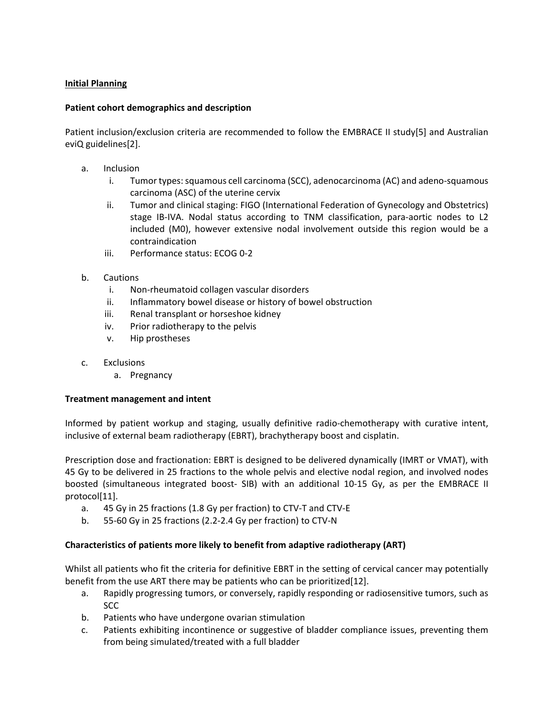# **Initial Planning**

## **Patient cohort demographics and description**

Patient inclusion/exclusion criteria are recommended to follow the EMBRACE II study[5] and Australian eviQ guidelines[2].

- a. Inclusion
	- i. Tumor types: squamous cell carcinoma (SCC), adenocarcinoma (AC) and adeno-squamous carcinoma (ASC) of the uterine cervix
	- ii. Tumor and clinical staging: FIGO (International Federation of Gynecology and Obstetrics) stage IB-IVA. Nodal status according to TNM classification, para-aortic nodes to L2 included (M0), however extensive nodal involvement outside this region would be a contraindication
	- iii. Performance status: ECOG 0-2
- b. Cautions
	- i. Non-rheumatoid collagen vascular disorders
	- ii. Inflammatory bowel disease or history of bowel obstruction
	- iii. Renal transplant or horseshoe kidney
	- iv. Prior radiotherapy to the pelvis
	- v. Hip prostheses
- c. Exclusions
	- a. Pregnancy

# **Treatment management and intent**

Informed by patient workup and staging, usually definitive radio-chemotherapy with curative intent, inclusive of external beam radiotherapy (EBRT), brachytherapy boost and cisplatin.

Prescription dose and fractionation: EBRT is designed to be delivered dynamically (IMRT or VMAT), with 45 Gy to be delivered in 25 fractions to the whole pelvis and elective nodal region, and involved nodes boosted (simultaneous integrated boost- SIB) with an additional 10-15 Gy, as per the EMBRACE II protocol[11].

- a. 45 Gy in 25 fractions (1.8 Gy per fraction) to CTV-T and CTV-E
- b. 55-60 Gy in 25 fractions (2.2-2.4 Gy per fraction) to CTV-N

# **Characteristics of patients more likely to benefit from adaptive radiotherapy (ART)**

Whilst all patients who fit the criteria for definitive EBRT in the setting of cervical cancer may potentially benefit from the use ART there may be patients who can be prioritized[12].

- a. Rapidly progressing tumors, or conversely, rapidly responding or radiosensitive tumors, such as SCC
- b. Patients who have undergone ovarian stimulation
- c. Patients exhibiting incontinence or suggestive of bladder compliance issues, preventing them from being simulated/treated with a full bladder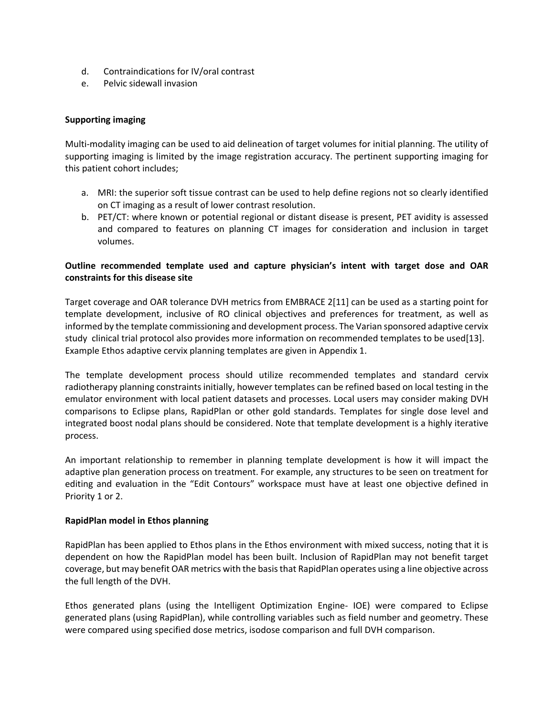- d. Contraindications for IV/oral contrast
- e. Pelvic sidewall invasion

# **Supporting imaging**

Multi-modality imaging can be used to aid delineation of target volumes for initial planning. The utility of supporting imaging is limited by the image registration accuracy. The pertinent supporting imaging for this patient cohort includes;

- a. MRI: the superior soft tissue contrast can be used to help define regions not so clearly identified on CT imaging as a result of lower contrast resolution.
- b. PET/CT: where known or potential regional or distant disease is present, PET avidity is assessed and compared to features on planning CT images for consideration and inclusion in target volumes.

# **Outline recommended template used and capture physician's intent with target dose and OAR constraints for this disease site**

Target coverage and OAR tolerance DVH metrics from EMBRACE 2[11] can be used as a starting point for template development, inclusive of RO clinical objectives and preferences for treatment, as well as informed by the template commissioning and development process. The Varian sponsored adaptive cervix study clinical trial protocol also provides more information on recommended templates to be used[13]. Example Ethos adaptive cervix planning templates are given in Appendix 1.

The template development process should utilize recommended templates and standard cervix radiotherapy planning constraints initially, however templates can be refined based on local testing in the emulator environment with local patient datasets and processes. Local users may consider making DVH comparisons to Eclipse plans, RapidPlan or other gold standards. Templates for single dose level and integrated boost nodal plans should be considered. Note that template development is a highly iterative process.

An important relationship to remember in planning template development is how it will impact the adaptive plan generation process on treatment. For example, any structures to be seen on treatment for editing and evaluation in the "Edit Contours" workspace must have at least one objective defined in Priority 1 or 2.

# **RapidPlan model in Ethos planning**

RapidPlan has been applied to Ethos plans in the Ethos environment with mixed success, noting that it is dependent on how the RapidPlan model has been built. Inclusion of RapidPlan may not benefit target coverage, but may benefit OAR metrics with the basis that RapidPlan operates using a line objective across the full length of the DVH.

Ethos generated plans (using the Intelligent Optimization Engine- IOE) were compared to Eclipse generated plans (using RapidPlan), while controlling variables such as field number and geometry. These were compared using specified dose metrics, isodose comparison and full DVH comparison.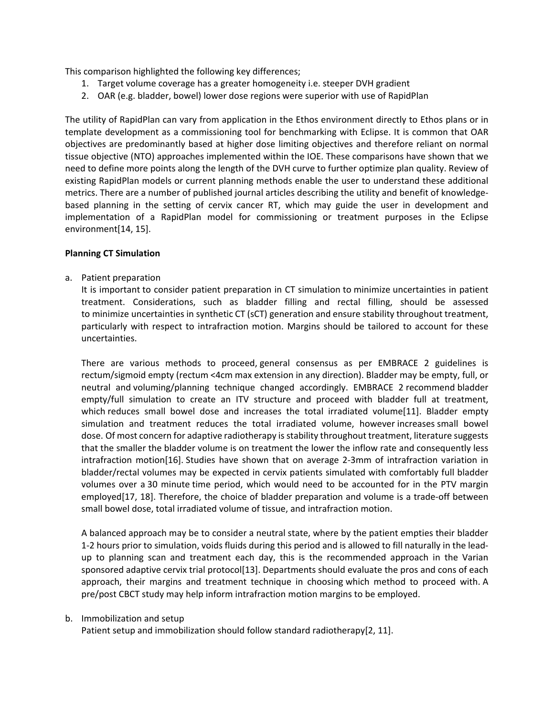This comparison highlighted the following key differences;

- 1. Target volume coverage has a greater homogeneity i.e. steeper DVH gradient
- 2. OAR (e.g. bladder, bowel) lower dose regions were superior with use of RapidPlan

The utility of RapidPlan can vary from application in the Ethos environment directly to Ethos plans or in template development as a commissioning tool for benchmarking with Eclipse. It is common that OAR objectives are predominantly based at higher dose limiting objectives and therefore reliant on normal tissue objective (NTO) approaches implemented within the IOE. These comparisons have shown that we need to define more points along the length of the DVH curve to further optimize plan quality. Review of existing RapidPlan models or current planning methods enable the user to understand these additional metrics. There are a number of published journal articles describing the utility and benefit of knowledgebased planning in the setting of cervix cancer RT, which may guide the user in development and implementation of a RapidPlan model for commissioning or treatment purposes in the Eclipse environment[14, 15].

## **Planning CT Simulation**

a. Patient preparation

It is important to consider patient preparation in CT simulation to minimize uncertainties in patient treatment. Considerations, such as bladder filling and rectal filling, should be assessed to minimize uncertainties in synthetic CT (sCT) generation and ensure stability throughout treatment, particularly with respect to intrafraction motion. Margins should be tailored to account for these uncertainties.

There are various methods to proceed, general consensus as per EMBRACE 2 guidelines is rectum/sigmoid empty (rectum <4cm max extension in any direction). Bladder may be empty, full, or neutral and voluming/planning technique changed accordingly. EMBRACE 2 recommend bladder empty/full simulation to create an ITV structure and proceed with bladder full at treatment, which reduces small bowel dose and increases the total irradiated volume[11]. Bladder empty simulation and treatment reduces the total irradiated volume, however increases small bowel dose. Of most concern for adaptive radiotherapy is stability throughout treatment, literature suggests that the smaller the bladder volume is on treatment the lower the inflow rate and consequently less intrafraction motion[16]. Studies have shown that on average 2-3mm of intrafraction variation in bladder/rectal volumes may be expected in cervix patients simulated with comfortably full bladder volumes over a 30 minute time period, which would need to be accounted for in the PTV margin employed[17, 18]. Therefore, the choice of bladder preparation and volume is a trade-off between small bowel dose, total irradiated volume of tissue, and intrafraction motion.

A balanced approach may be to consider a neutral state, where by the patient empties their bladder 1-2 hours prior to simulation, voids fluids during this period and is allowed to fill naturally in the leadup to planning scan and treatment each day, this is the recommended approach in the Varian sponsored adaptive cervix trial protocol[13]. Departments should evaluate the pros and cons of each approach, their margins and treatment technique in choosing which method to proceed with. A pre/post CBCT study may help inform intrafraction motion margins to be employed.

#### b. Immobilization and setup

Patient setup and immobilization should follow standard radiotherapy[2, 11].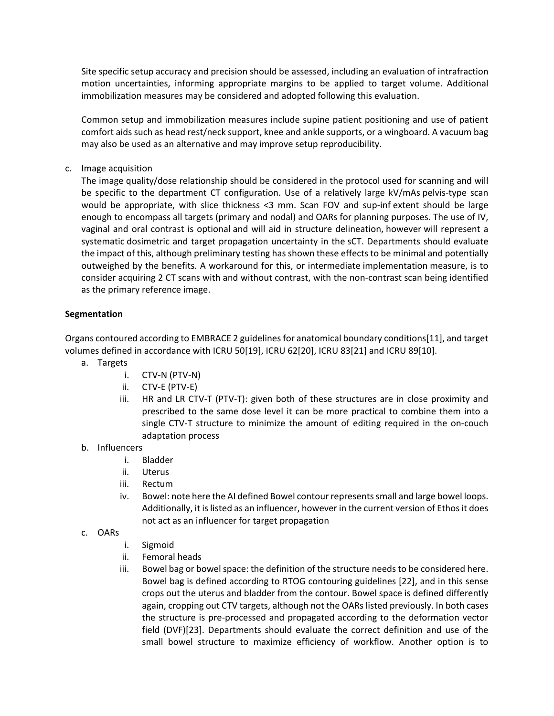Site specific setup accuracy and precision should be assessed, including an evaluation of intrafraction motion uncertainties, informing appropriate margins to be applied to target volume. Additional immobilization measures may be considered and adopted following this evaluation.

Common setup and immobilization measures include supine patient positioning and use of patient comfort aids such as head rest/neck support, knee and ankle supports, or a wingboard. A vacuum bag may also be used as an alternative and may improve setup reproducibility.

c. Image acquisition

The image quality/dose relationship should be considered in the protocol used for scanning and will be specific to the department CT configuration. Use of a relatively large kV/mAs pelvis-type scan would be appropriate, with slice thickness <3 mm. Scan FOV and sup-inf extent should be large enough to encompass all targets (primary and nodal) and OARs for planning purposes. The use of IV, vaginal and oral contrast is optional and will aid in structure delineation, however will represent a systematic dosimetric and target propagation uncertainty in the sCT. Departments should evaluate the impact of this, although preliminary testing has shown these effects to be minimal and potentially outweighed by the benefits. A workaround for this, or intermediate implementation measure, is to consider acquiring 2 CT scans with and without contrast, with the non-contrast scan being identified as the primary reference image.

# **Segmentation**

Organs contoured according to EMBRACE 2 guidelines for anatomical boundary conditions[11], and target volumes defined in accordance with ICRU 50[19], ICRU 62[20], ICRU 83[21] and ICRU 89[10].

- a. Targets
	- i. CTV-N (PTV-N)
	- ii. CTV-E (PTV-E)
	- iii. HR and LR CTV-T (PTV-T): given both of these structures are in close proximity and prescribed to the same dose level it can be more practical to combine them into a single CTV-T structure to minimize the amount of editing required in the on-couch adaptation process
- b. Influencers
	- i. Bladder
	- ii. Uterus
	- iii. Rectum
	- iv. Bowel: note here the AI defined Bowel contour represents small and large bowel loops. Additionally, it is listed as an influencer, however in the current version of Ethos it does not act as an influencer for target propagation
- c. OARs
	- i. Sigmoid
	- ii. Femoral heads
	- iii. Bowel bag or bowel space: the definition of the structure needs to be considered here. Bowel bag is defined according to RTOG contouring guidelines [22], and in this sense crops out the uterus and bladder from the contour. Bowel space is defined differently again, cropping out CTV targets, although not the OARs listed previously. In both cases the structure is pre-processed and propagated according to the deformation vector field (DVF)[23]. Departments should evaluate the correct definition and use of the small bowel structure to maximize efficiency of workflow. Another option is to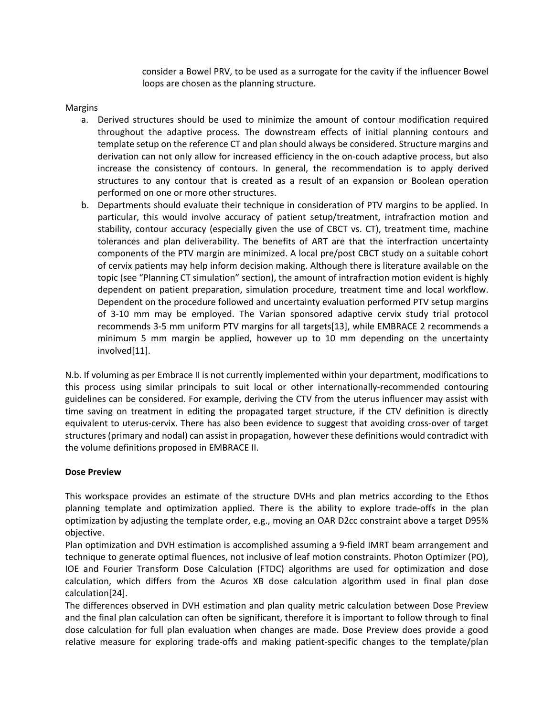consider a Bowel PRV, to be used as a surrogate for the cavity if the influencer Bowel loops are chosen as the planning structure.

## Margins

- a. Derived structures should be used to minimize the amount of contour modification required throughout the adaptive process. The downstream effects of initial planning contours and template setup on the reference CT and plan should always be considered. Structure margins and derivation can not only allow for increased efficiency in the on-couch adaptive process, but also increase the consistency of contours. In general, the recommendation is to apply derived structures to any contour that is created as a result of an expansion or Boolean operation performed on one or more other structures.
- b. Departments should evaluate their technique in consideration of PTV margins to be applied. In particular, this would involve accuracy of patient setup/treatment, intrafraction motion and stability, contour accuracy (especially given the use of CBCT vs. CT), treatment time, machine tolerances and plan deliverability. The benefits of ART are that the interfraction uncertainty components of the PTV margin are minimized. A local pre/post CBCT study on a suitable cohort of cervix patients may help inform decision making. Although there is literature available on the topic (see "Planning CT simulation" section), the amount of intrafraction motion evident is highly dependent on patient preparation, simulation procedure, treatment time and local workflow. Dependent on the procedure followed and uncertainty evaluation performed PTV setup margins of 3-10 mm may be employed. The Varian sponsored adaptive cervix study trial protocol recommends 3-5 mm uniform PTV margins for all targets[13], while EMBRACE 2 recommends a minimum 5 mm margin be applied, however up to 10 mm depending on the uncertainty involved[11].

N.b. If voluming as per Embrace II is not currently implemented within your department, modifications to this process using similar principals to suit local or other internationally-recommended contouring guidelines can be considered. For example, deriving the CTV from the uterus influencer may assist with time saving on treatment in editing the propagated target structure, if the CTV definition is directly equivalent to uterus-cervix. There has also been evidence to suggest that avoiding cross-over of target structures (primary and nodal) can assist in propagation, however these definitions would contradict with the volume definitions proposed in EMBRACE II.

#### **Dose Preview**

This workspace provides an estimate of the structure DVHs and plan metrics according to the Ethos planning template and optimization applied. There is the ability to explore trade-offs in the plan optimization by adjusting the template order, e.g., moving an OAR D2cc constraint above a target D95% objective.

Plan optimization and DVH estimation is accomplished assuming a 9-field IMRT beam arrangement and technique to generate optimal fluences, not inclusive of leaf motion constraints. Photon Optimizer (PO), IOE and Fourier Transform Dose Calculation (FTDC) algorithms are used for optimization and dose calculation, which differs from the Acuros XB dose calculation algorithm used in final plan dose calculation[24].

The differences observed in DVH estimation and plan quality metric calculation between Dose Preview and the final plan calculation can often be significant, therefore it is important to follow through to final dose calculation for full plan evaluation when changes are made. Dose Preview does provide a good relative measure for exploring trade-offs and making patient-specific changes to the template/plan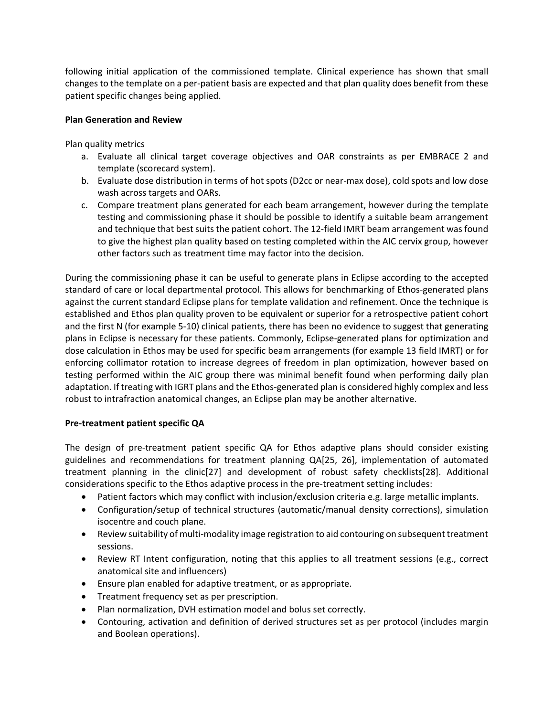following initial application of the commissioned template. Clinical experience has shown that small changes to the template on a per-patient basis are expected and that plan quality does benefit from these patient specific changes being applied.

# **Plan Generation and Review**

Plan quality metrics

- a. Evaluate all clinical target coverage objectives and OAR constraints as per EMBRACE 2 and template (scorecard system).
- b. Evaluate dose distribution in terms of hot spots (D2cc or near-max dose), cold spots and low dose wash across targets and OARs.
- c. Compare treatment plans generated for each beam arrangement, however during the template testing and commissioning phase it should be possible to identify a suitable beam arrangement and technique that best suits the patient cohort. The 12-field IMRT beam arrangement was found to give the highest plan quality based on testing completed within the AIC cervix group, however other factors such as treatment time may factor into the decision.

During the commissioning phase it can be useful to generate plans in Eclipse according to the accepted standard of care or local departmental protocol. This allows for benchmarking of Ethos-generated plans against the current standard Eclipse plans for template validation and refinement. Once the technique is established and Ethos plan quality proven to be equivalent or superior for a retrospective patient cohort and the first N (for example 5-10) clinical patients, there has been no evidence to suggest that generating plans in Eclipse is necessary for these patients. Commonly, Eclipse-generated plans for optimization and dose calculation in Ethos may be used for specific beam arrangements (for example 13 field IMRT) or for enforcing collimator rotation to increase degrees of freedom in plan optimization, however based on testing performed within the AIC group there was minimal benefit found when performing daily plan adaptation. If treating with IGRT plans and the Ethos-generated plan is considered highly complex and less robust to intrafraction anatomical changes, an Eclipse plan may be another alternative.

# **Pre-treatment patient specific QA**

The design of pre-treatment patient specific QA for Ethos adaptive plans should consider existing guidelines and recommendations for treatment planning QA[25, 26], implementation of automated treatment planning in the clinic[27] and development of robust safety checklists[28]. Additional considerations specific to the Ethos adaptive process in the pre-treatment setting includes:

- Patient factors which may conflict with inclusion/exclusion criteria e.g. large metallic implants.
- Configuration/setup of technical structures (automatic/manual density corrections), simulation isocentre and couch plane.
- Review suitability of multi-modality image registration to aid contouring on subsequent treatment sessions.
- Review RT Intent configuration, noting that this applies to all treatment sessions (e.g., correct anatomical site and influencers)
- Ensure plan enabled for adaptive treatment, or as appropriate.
- Treatment frequency set as per prescription.
- Plan normalization, DVH estimation model and bolus set correctly.
- Contouring, activation and definition of derived structures set as per protocol (includes margin and Boolean operations).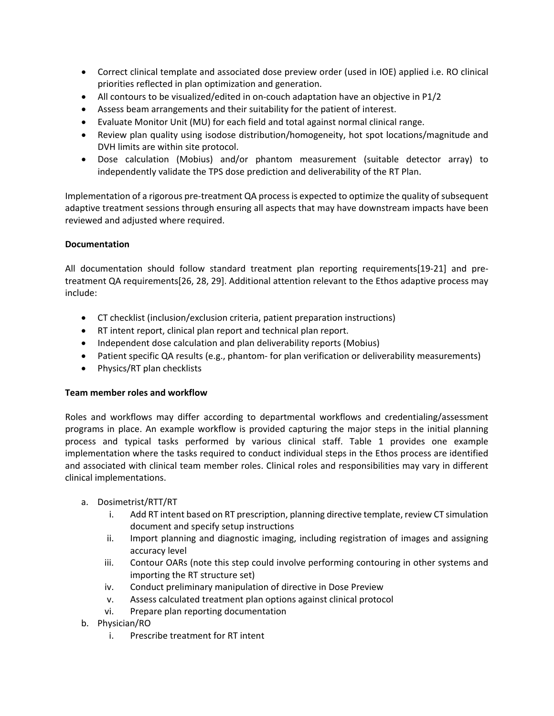- Correct clinical template and associated dose preview order (used in IOE) applied i.e. RO clinical priorities reflected in plan optimization and generation.
- All contours to be visualized/edited in on-couch adaptation have an objective in P1/2
- Assess beam arrangements and their suitability for the patient of interest.
- Evaluate Monitor Unit (MU) for each field and total against normal clinical range.
- Review plan quality using isodose distribution/homogeneity, hot spot locations/magnitude and DVH limits are within site protocol.
- Dose calculation (Mobius) and/or phantom measurement (suitable detector array) to independently validate the TPS dose prediction and deliverability of the RT Plan.

Implementation of a rigorous pre-treatment QA process is expected to optimize the quality of subsequent adaptive treatment sessions through ensuring all aspects that may have downstream impacts have been reviewed and adjusted where required.

# **Documentation**

All documentation should follow standard treatment plan reporting requirements[19-21] and pretreatment QA requirements[26, 28, 29]. Additional attention relevant to the Ethos adaptive process may include:

- CT checklist (inclusion/exclusion criteria, patient preparation instructions)
- RT intent report, clinical plan report and technical plan report.
- Independent dose calculation and plan deliverability reports (Mobius)
- Patient specific QA results (e.g., phantom- for plan verification or deliverability measurements)
- Physics/RT plan checklists

# **Team member roles and workflow**

Roles and workflows may differ according to departmental workflows and credentialing/assessment programs in place. An example workflow is provided capturing the major steps in the initial planning process and typical tasks performed by various clinical staff. Table 1 provides one example implementation where the tasks required to conduct individual steps in the Ethos process are identified and associated with clinical team member roles. Clinical roles and responsibilities may vary in different clinical implementations.

# a. Dosimetrist/RTT/RT

- i. Add RT intent based on RT prescription, planning directive template, review CT simulation document and specify setup instructions
- ii. Import planning and diagnostic imaging, including registration of images and assigning accuracy level
- iii. Contour OARs (note this step could involve performing contouring in other systems and importing the RT structure set)
- iv. Conduct preliminary manipulation of directive in Dose Preview
- v. Assess calculated treatment plan options against clinical protocol
- vi. Prepare plan reporting documentation
- b. Physician/RO
	- i. Prescribe treatment for RT intent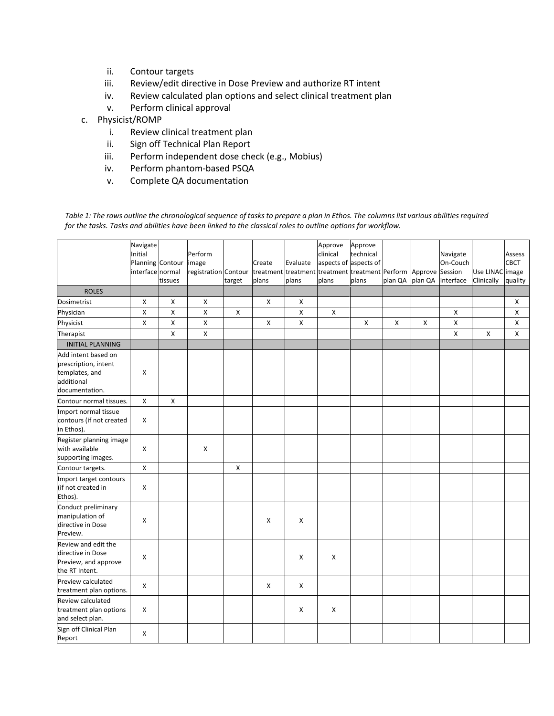- ii. Contour targets
- iii. Review/edit directive in Dose Preview and authorize RT intent
- iv. Review calculated plan options and select clinical treatment plan
- v. Perform clinical approval
- c. Physicist/ROMP
	- i. Review clinical treatment plan
	- ii. Sign off Technical Plan Report
	- iii. Perform independent dose check (e.g., Mobius)
	- iv. Perform phantom-based PSQA
	- v. Complete QA documentation

*Table 1: The rows outline the chronological sequence of tasks to prepare a plan in Ethos. The columns list various abilities required for the tasks. Tasks and abilities have been linked to the classical roles to outline options for workflow.*

|                                                                                    | Navigate<br>Initial<br>Planning Contour |         | Perform<br>image     |                    |        | Evaluate | Approve<br>clinical<br>aspects of aspects of            | Approve<br>technical |                |                | Navigate<br>On-Couch |                 | Assess<br><b>CBCT</b> |
|------------------------------------------------------------------------------------|-----------------------------------------|---------|----------------------|--------------------|--------|----------|---------------------------------------------------------|----------------------|----------------|----------------|----------------------|-----------------|-----------------------|
|                                                                                    | interface normal                        |         | registration Contour |                    | Create |          | treatment treatment treatment treatment Perform Approve |                      |                |                | Session              | Use LINAC image |                       |
| <b>ROLES</b>                                                                       |                                         | tissues |                      | target             | plans  | plans    | plans                                                   | plans                | plan QA        | plan QA        | interface            | Clinically      | quality               |
| Dosimetrist                                                                        | X                                       | X       | X                    |                    | X      | X        |                                                         |                      |                |                |                      |                 | X                     |
|                                                                                    | Χ                                       | Χ       | $\pmb{\mathsf{X}}$   | $\pmb{\mathsf{X}}$ |        | Χ        | $\pmb{\times}$                                          |                      |                |                | Χ                    |                 | X                     |
| Physician<br>Physicist                                                             | Χ                                       | Χ       | $\pmb{\times}$       |                    | X      | X        |                                                         | X                    | $\pmb{\times}$ | $\pmb{\times}$ | X                    |                 | X                     |
| Therapist                                                                          |                                         | Χ       | $\pmb{\times}$       |                    |        |          |                                                         |                      |                |                | X                    | X               | X                     |
| <b>INITIAL PLANNING</b>                                                            |                                         |         |                      |                    |        |          |                                                         |                      |                |                |                      |                 |                       |
| Add intent based on                                                                |                                         |         |                      |                    |        |          |                                                         |                      |                |                |                      |                 |                       |
| prescription, intent<br>templates, and<br>additional                               | X                                       |         |                      |                    |        |          |                                                         |                      |                |                |                      |                 |                       |
| documentation.                                                                     |                                         |         |                      |                    |        |          |                                                         |                      |                |                |                      |                 |                       |
| Contour normal tissues.                                                            | X                                       | Χ       |                      |                    |        |          |                                                         |                      |                |                |                      |                 |                       |
| Import normal tissue<br>contours (if not created<br>in Ethos).                     | Χ                                       |         |                      |                    |        |          |                                                         |                      |                |                |                      |                 |                       |
| Register planning image<br>with available<br>supporting images.                    | X                                       |         | $\pmb{\times}$       |                    |        |          |                                                         |                      |                |                |                      |                 |                       |
| Contour targets.                                                                   | Χ                                       |         |                      | $\pmb{\times}$     |        |          |                                                         |                      |                |                |                      |                 |                       |
| Import target contours<br>(if not created in<br>Ethos).                            | X                                       |         |                      |                    |        |          |                                                         |                      |                |                |                      |                 |                       |
| Conduct preliminary<br>manipulation of<br>directive in Dose<br>Preview.            | X                                       |         |                      |                    | X      | x        |                                                         |                      |                |                |                      |                 |                       |
| Review and edit the<br>directive in Dose<br>Preview, and approve<br>the RT Intent. | X                                       |         |                      |                    |        | X        | X                                                       |                      |                |                |                      |                 |                       |
| Preview calculated<br>treatment plan options.                                      | $\pmb{\times}$                          |         |                      |                    | X      | х        |                                                         |                      |                |                |                      |                 |                       |
| Review calculated<br>treatment plan options<br>and select plan.                    | Χ                                       |         |                      |                    |        | x        | X                                                       |                      |                |                |                      |                 |                       |
| Sign off Clinical Plan<br>Report                                                   | x                                       |         |                      |                    |        |          |                                                         |                      |                |                |                      |                 |                       |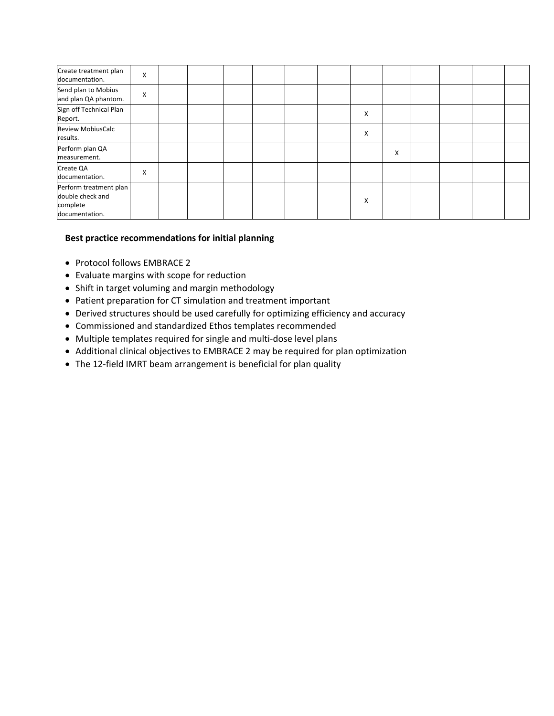| Create treatment plan<br>documentation.                                  | X |  |  |  |   |   |  |  |
|--------------------------------------------------------------------------|---|--|--|--|---|---|--|--|
| Send plan to Mobius<br>and plan QA phantom.                              | X |  |  |  |   |   |  |  |
| Sign off Technical Plan<br>Report.                                       |   |  |  |  | X |   |  |  |
| <b>Review MobiusCalc</b><br>results.                                     |   |  |  |  | X |   |  |  |
| Perform plan QA<br>measurement.                                          |   |  |  |  |   | X |  |  |
| Create QA<br>documentation.                                              | X |  |  |  |   |   |  |  |
| Perform treatment plan<br>double check and<br>complete<br>documentation. |   |  |  |  | X |   |  |  |

# **Best practice recommendations for initial planning**

- Protocol follows EMBRACE 2
- Evaluate margins with scope for reduction
- Shift in target voluming and margin methodology
- Patient preparation for CT simulation and treatment important
- Derived structures should be used carefully for optimizing efficiency and accuracy
- Commissioned and standardized Ethos templates recommended
- Multiple templates required for single and multi-dose level plans
- Additional clinical objectives to EMBRACE 2 may be required for plan optimization
- The 12-field IMRT beam arrangement is beneficial for plan quality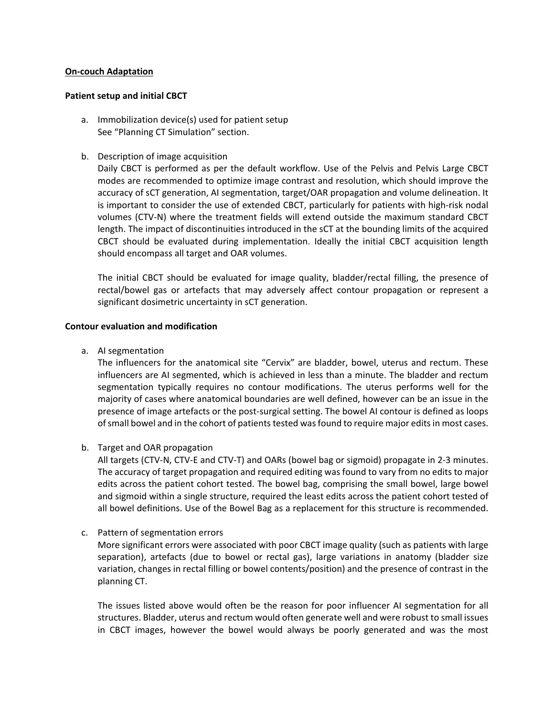## **On-couch Adaptation**

#### **Patient setup and initial CBCT**

- a. Immobilization device(s) used for patient setup See "Planning CT Simulation" section.
- b. Description of image acquisition

Daily CBCT is performed as per the default workflow. Use of the Pelvis and Pelvis Large CBCT modes are recommended to optimize image contrast and resolution, which should improve the accuracy of sCT generation, AI segmentation, target/OAR propagation and volume delineation. It is important to consider the use of extended CBCT, particularly for patients with high-risk nodal volumes (CTV-N) where the treatment fields will extend outside the maximum standard CBCT length. The impact of discontinuities introduced in the sCT at the bounding limits of the acquired CBCT should be evaluated during implementation. Ideally the initial CBCT acquisition length should encompass all target and OAR volumes.

The initial CBCT should be evaluated for image quality, bladder/rectal filling, the presence of rectal/bowel gas or artefacts that may adversely affect contour propagation or represent a significant dosimetric uncertainty in sCT generation.

## **Contour evaluation and modification**

a. AI segmentation

The influencers for the anatomical site "Cervix" are bladder, bowel, uterus and rectum. These influencers are AI segmented, which is achieved in less than a minute. The bladder and rectum segmentation typically requires no contour modifications. The uterus performs well for the majority of cases where anatomical boundaries are well defined, however can be an issue in the presence of image artefacts or the post-surgical setting. The bowel AI contour is defined as loops of small bowel and in the cohort of patients tested was found to require major edits in most cases.

b. Target and OAR propagation

All targets (CTV-N, CTV-E and CTV-T) and OARs (bowel bag or sigmoid) propagate in 2-3 minutes. The accuracy of target propagation and required editing was found to vary from no edits to major edits across the patient cohort tested. The bowel bag, comprising the small bowel, large bowel and sigmoid within a single structure, required the least edits across the patient cohort tested of all bowel definitions. Use of the Bowel Bag as a replacement for this structure is recommended.

c. Pattern of segmentation errors

More significant errors were associated with poor CBCT image quality (such as patients with large separation), artefacts (due to bowel or rectal gas), large variations in anatomy (bladder size variation, changes in rectal filling or bowel contents/position) and the presence of contrast in the planning CT.

The issues listed above would often be the reason for poor influencer AI segmentation for all structures. Bladder, uterus and rectum would often generate well and were robust to small issues in CBCT images, however the bowel would always be poorly generated and was the most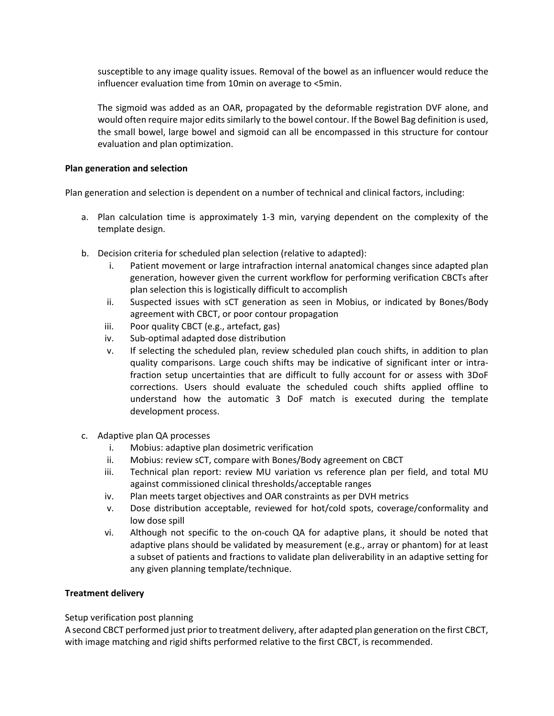susceptible to any image quality issues. Removal of the bowel as an influencer would reduce the influencer evaluation time from 10min on average to <5min.

The sigmoid was added as an OAR, propagated by the deformable registration DVF alone, and would often require major edits similarly to the bowel contour. If the Bowel Bag definition is used, the small bowel, large bowel and sigmoid can all be encompassed in this structure for contour evaluation and plan optimization.

## **Plan generation and selection**

Plan generation and selection is dependent on a number of technical and clinical factors, including:

- a. Plan calculation time is approximately 1-3 min, varying dependent on the complexity of the template design.
- b. Decision criteria for scheduled plan selection (relative to adapted):
	- i. Patient movement or large intrafraction internal anatomical changes since adapted plan generation, however given the current workflow for performing verification CBCTs after plan selection this is logistically difficult to accomplish
	- ii. Suspected issues with sCT generation as seen in Mobius, or indicated by Bones/Body agreement with CBCT, or poor contour propagation
	- iii. Poor quality CBCT (e.g., artefact, gas)
	- iv. Sub-optimal adapted dose distribution
	- v. If selecting the scheduled plan, review scheduled plan couch shifts, in addition to plan quality comparisons. Large couch shifts may be indicative of significant inter or intrafraction setup uncertainties that are difficult to fully account for or assess with 3DoF corrections. Users should evaluate the scheduled couch shifts applied offline to understand how the automatic 3 DoF match is executed during the template development process.
- c. Adaptive plan QA processes
	- i. Mobius: adaptive plan dosimetric verification
	- ii. Mobius: review sCT, compare with Bones/Body agreement on CBCT
	- iii. Technical plan report: review MU variation vs reference plan per field, and total MU against commissioned clinical thresholds/acceptable ranges
	- iv. Plan meets target objectives and OAR constraints as per DVH metrics
	- v. Dose distribution acceptable, reviewed for hot/cold spots, coverage/conformality and low dose spill
	- vi. Although not specific to the on-couch QA for adaptive plans, it should be noted that adaptive plans should be validated by measurement (e.g., array or phantom) for at least a subset of patients and fractions to validate plan deliverability in an adaptive setting for any given planning template/technique.

# **Treatment delivery**

# Setup verification post planning

A second CBCT performed just prior to treatment delivery, after adapted plan generation on the first CBCT, with image matching and rigid shifts performed relative to the first CBCT, is recommended.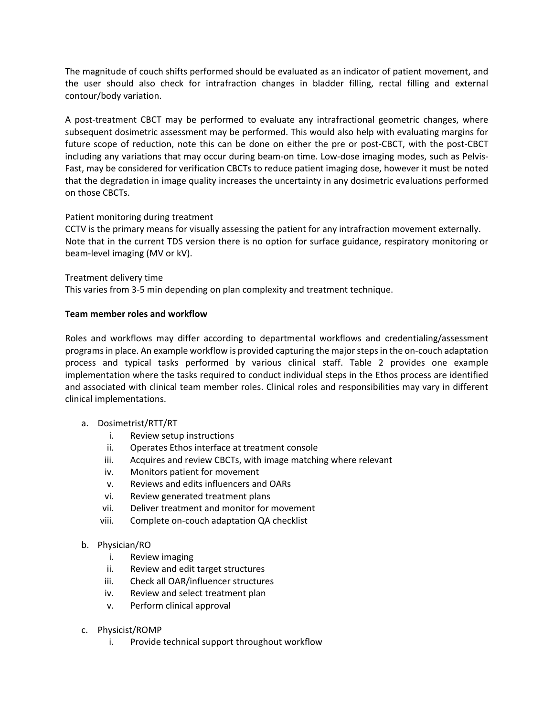The magnitude of couch shifts performed should be evaluated as an indicator of patient movement, and the user should also check for intrafraction changes in bladder filling, rectal filling and external contour/body variation.

A post-treatment CBCT may be performed to evaluate any intrafractional geometric changes, where subsequent dosimetric assessment may be performed. This would also help with evaluating margins for future scope of reduction, note this can be done on either the pre or post-CBCT, with the post-CBCT including any variations that may occur during beam-on time. Low-dose imaging modes, such as Pelvis-Fast, may be considered for verification CBCTs to reduce patient imaging dose, however it must be noted that the degradation in image quality increases the uncertainty in any dosimetric evaluations performed on those CBCTs.

# Patient monitoring during treatment

CCTV is the primary means for visually assessing the patient for any intrafraction movement externally. Note that in the current TDS version there is no option for surface guidance, respiratory monitoring or beam-level imaging (MV or kV).

# Treatment delivery time

This varies from 3-5 min depending on plan complexity and treatment technique.

# **Team member roles and workflow**

Roles and workflows may differ according to departmental workflows and credentialing/assessment programs in place. An example workflow is provided capturing the major steps in the on-couch adaptation process and typical tasks performed by various clinical staff. Table 2 provides one example implementation where the tasks required to conduct individual steps in the Ethos process are identified and associated with clinical team member roles. Clinical roles and responsibilities may vary in different clinical implementations.

# a. Dosimetrist/RTT/RT

- i. Review setup instructions
- ii. Operates Ethos interface at treatment console
- iii. Acquires and review CBCTs, with image matching where relevant
- iv. Monitors patient for movement
- v. Reviews and edits influencers and OARs
- vi. Review generated treatment plans
- vii. Deliver treatment and monitor for movement
- viii. Complete on-couch adaptation QA checklist

# b. Physician/RO

- i. Review imaging
- ii. Review and edit target structures
- iii. Check all OAR/influencer structures
- iv. Review and select treatment plan
- v. Perform clinical approval
- c. Physicist/ROMP
	- i. Provide technical support throughout workflow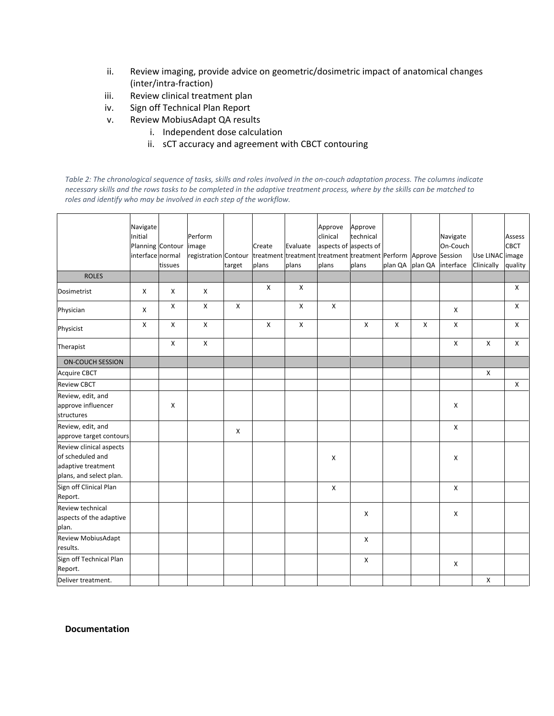- ii. Review imaging, provide advice on geometric/dosimetric impact of anatomical changes (inter/intra-fraction)
- iii. Review clinical treatment plan
- iv. Sign off Technical Plan Report
- v. Review MobiusAdapt QA results
	- i. Independent dose calculation
	- ii. sCT accuracy and agreement with CBCT contouring

*Table 2: The chronological sequence of tasks, skills and roles involved in the on-couch adaptation process. The columns indicate necessary skills and the rows tasks to be completed in the adaptive treatment process, where by the skills can be matched to roles and identify who may be involved in each step of the workflow.*

|                                                                                              | Navigate<br>Initial<br>Planning Contour<br>interface normal | tissues | Perform<br>image<br>registration Contour treatment treatment treatment treatment Perform Approve Session | target | Create<br>plans | Evaluate<br>plans | Approve<br>clinical<br>aspects of aspects of<br>plans | Approve<br>technical<br>plans | plan QA plan QA |   | Navigate<br>On-Couch<br>interface | Use LINAC image<br>Clinically | Assess<br><b>CBCT</b><br>quality |
|----------------------------------------------------------------------------------------------|-------------------------------------------------------------|---------|----------------------------------------------------------------------------------------------------------|--------|-----------------|-------------------|-------------------------------------------------------|-------------------------------|-----------------|---|-----------------------------------|-------------------------------|----------------------------------|
| <b>ROLES</b>                                                                                 |                                                             |         |                                                                                                          |        | X               | X                 |                                                       |                               |                 |   |                                   |                               | $\mathsf{x}$                     |
| Dosimetrist                                                                                  | X                                                           | X       | X                                                                                                        |        |                 |                   |                                                       |                               |                 |   |                                   |                               |                                  |
| Physician                                                                                    | X                                                           | X       | X                                                                                                        | X      |                 | X                 | X                                                     |                               |                 |   | $\pmb{\times}$                    |                               | X                                |
| Physicist                                                                                    | X                                                           | X       | X                                                                                                        |        | X               | X                 |                                                       | X                             | X               | X | X                                 |                               | X                                |
| Therapist                                                                                    |                                                             | Χ       | $\pmb{\times}$                                                                                           |        |                 |                   |                                                       |                               |                 |   | X                                 | X                             | X                                |
| <b>ON-COUCH SESSION</b>                                                                      |                                                             |         |                                                                                                          |        |                 |                   |                                                       |                               |                 |   |                                   |                               |                                  |
| <b>Acquire CBCT</b>                                                                          |                                                             |         |                                                                                                          |        |                 |                   |                                                       |                               |                 |   |                                   | X                             |                                  |
| <b>Review CBCT</b>                                                                           |                                                             |         |                                                                                                          |        |                 |                   |                                                       |                               |                 |   |                                   |                               | $\mathsf{X}$                     |
| Review, edit, and<br>approve influencer<br>structures                                        |                                                             | X       |                                                                                                          |        |                 |                   |                                                       |                               |                 |   | X                                 |                               |                                  |
| Review, edit, and<br>approve target contours                                                 |                                                             |         |                                                                                                          | X      |                 |                   |                                                       |                               |                 |   | X                                 |                               |                                  |
| Review clinical aspects<br>of scheduled and<br>adaptive treatment<br>plans, and select plan. |                                                             |         |                                                                                                          |        |                 |                   | X                                                     |                               |                 |   | X                                 |                               |                                  |
| Sign off Clinical Plan<br>Report.                                                            |                                                             |         |                                                                                                          |        |                 |                   | X                                                     |                               |                 |   | $\pmb{\times}$                    |                               |                                  |
| Review technical<br>aspects of the adaptive<br>plan.                                         |                                                             |         |                                                                                                          |        |                 |                   |                                                       | Χ                             |                 |   | X                                 |                               |                                  |
| <b>Review MobiusAdapt</b><br>results.                                                        |                                                             |         |                                                                                                          |        |                 |                   |                                                       | X                             |                 |   |                                   |                               |                                  |
| Sign off Technical Plan<br>Report.                                                           |                                                             |         |                                                                                                          |        |                 |                   |                                                       | X                             |                 |   | X                                 |                               |                                  |
| Deliver treatment.                                                                           |                                                             |         |                                                                                                          |        |                 |                   |                                                       |                               |                 |   |                                   | X                             |                                  |

**Documentation**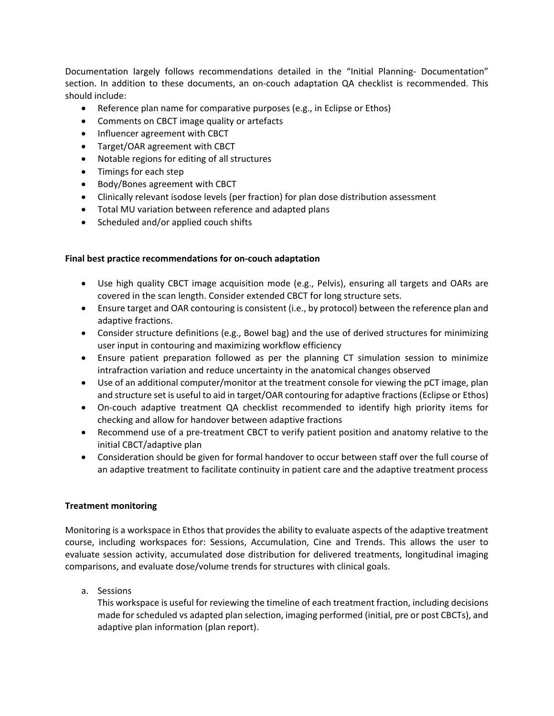Documentation largely follows recommendations detailed in the "Initial Planning- Documentation" section. In addition to these documents, an on-couch adaptation QA checklist is recommended. This should include:

- Reference plan name for comparative purposes (e.g., in Eclipse or Ethos)
- Comments on CBCT image quality or artefacts
- Influencer agreement with CBCT
- Target/OAR agreement with CBCT
- Notable regions for editing of all structures
- Timings for each step
- Body/Bones agreement with CBCT
- Clinically relevant isodose levels (per fraction) for plan dose distribution assessment
- Total MU variation between reference and adapted plans
- Scheduled and/or applied couch shifts

## **Final best practice recommendations for on-couch adaptation**

- Use high quality CBCT image acquisition mode (e.g., Pelvis), ensuring all targets and OARs are covered in the scan length. Consider extended CBCT for long structure sets.
- Ensure target and OAR contouring is consistent (i.e., by protocol) between the reference plan and adaptive fractions.
- Consider structure definitions (e.g., Bowel bag) and the use of derived structures for minimizing user input in contouring and maximizing workflow efficiency
- Ensure patient preparation followed as per the planning CT simulation session to minimize intrafraction variation and reduce uncertainty in the anatomical changes observed
- Use of an additional computer/monitor at the treatment console for viewing the pCT image, plan and structure set is useful to aid in target/OAR contouring for adaptive fractions (Eclipse or Ethos)
- On-couch adaptive treatment QA checklist recommended to identify high priority items for checking and allow for handover between adaptive fractions
- Recommend use of a pre-treatment CBCT to verify patient position and anatomy relative to the initial CBCT/adaptive plan
- Consideration should be given for formal handover to occur between staff over the full course of an adaptive treatment to facilitate continuity in patient care and the adaptive treatment process

# **Treatment monitoring**

Monitoring is a workspace in Ethos that provides the ability to evaluate aspects of the adaptive treatment course, including workspaces for: Sessions, Accumulation, Cine and Trends. This allows the user to evaluate session activity, accumulated dose distribution for delivered treatments, longitudinal imaging comparisons, and evaluate dose/volume trends for structures with clinical goals.

a. Sessions

This workspace is useful for reviewing the timeline of each treatment fraction, including decisions made for scheduled vs adapted plan selection, imaging performed (initial, pre or post CBCTs), and adaptive plan information (plan report).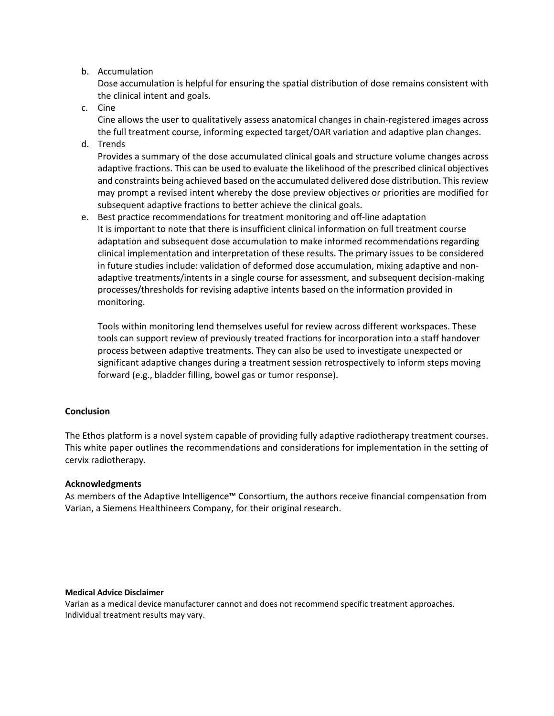## b. Accumulation

Dose accumulation is helpful for ensuring the spatial distribution of dose remains consistent with the clinical intent and goals.

c. Cine

Cine allows the user to qualitatively assess anatomical changes in chain-registered images across the full treatment course, informing expected target/OAR variation and adaptive plan changes.

d. Trends

Provides a summary of the dose accumulated clinical goals and structure volume changes across adaptive fractions. This can be used to evaluate the likelihood of the prescribed clinical objectives and constraints being achieved based on the accumulated delivered dose distribution. This review may prompt a revised intent whereby the dose preview objectives or priorities are modified for subsequent adaptive fractions to better achieve the clinical goals.

e. Best practice recommendations for treatment monitoring and off-line adaptation It is important to note that there is insufficient clinical information on full treatment course adaptation and subsequent dose accumulation to make informed recommendations regarding clinical implementation and interpretation of these results. The primary issues to be considered in future studies include: validation of deformed dose accumulation, mixing adaptive and nonadaptive treatments/intents in a single course for assessment, and subsequent decision-making processes/thresholds for revising adaptive intents based on the information provided in monitoring.

Tools within monitoring lend themselves useful for review across different workspaces. These tools can support review of previously treated fractions for incorporation into a staff handover process between adaptive treatments. They can also be used to investigate unexpected or significant adaptive changes during a treatment session retrospectively to inform steps moving forward (e.g., bladder filling, bowel gas or tumor response).

# **Conclusion**

The Ethos platform is a novel system capable of providing fully adaptive radiotherapy treatment courses. This white paper outlines the recommendations and considerations for implementation in the setting of cervix radiotherapy.

# **Acknowledgments**

As members of the Adaptive Intelligence™ Consortium, the authors receive financial compensation from Varian, a Siemens Healthineers Company, for their original research.

#### **Medical Advice Disclaimer**

Varian as a medical device manufacturer cannot and does not recommend specific treatment approaches. Individual treatment results may vary.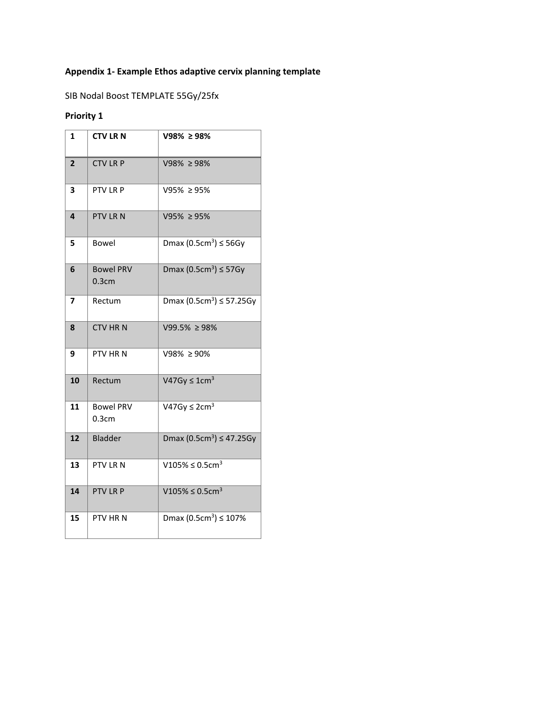# **Appendix 1- Example Ethos adaptive cervix planning template**

SIB Nodal Boost TEMPLATE 55Gy/25fx

# **Priority 1**

| $\mathbf{1}$   | <b>CTV LRN</b>            | V98% ≥ 98%                           |
|----------------|---------------------------|--------------------------------------|
| $\overline{2}$ | <b>CTV LR P</b>           | $V98\% \ge 98\%$                     |
| 3              | PTV LR P                  | V95% ≥ 95%                           |
| 4              | PTV LRN                   | $V95\% \ge 95\%$                     |
| 5              | Bowel                     | Dmax $(0.5cm3) \le 56Gy$             |
| 6              | <b>Bowel PRV</b><br>0.3cm | Dmax $(0.5cm3) \le 57Gy$             |
| 7              | Rectum                    | Dmax $(0.5cm^3) \le 57.25Gy$         |
| 8              | <b>CTV HRN</b>            | $V99.5\% \ge 98\%$                   |
| 9              | PTV HRN                   | V98% ≥ 90%                           |
| 10             | Rectum                    | V47Gy $\leq$ 1cm <sup>3</sup>        |
| 11             | <b>Bowel PRV</b><br>0.3cm | V47Gy $\leq$ 2cm <sup>3</sup>        |
| 12             | <b>Bladder</b>            | Dmax (0.5cm <sup>3</sup> ) ≤ 47.25Gy |
| 13             | PTV LRN                   | V105% ≤ 0.5cm <sup>3</sup>           |
| 14             | PTV LR P                  | V105% ≤ 0.5cm <sup>3</sup>           |
| 15             | PTV HRN                   | Dmax $(0.5cm^3) \le 107\%$           |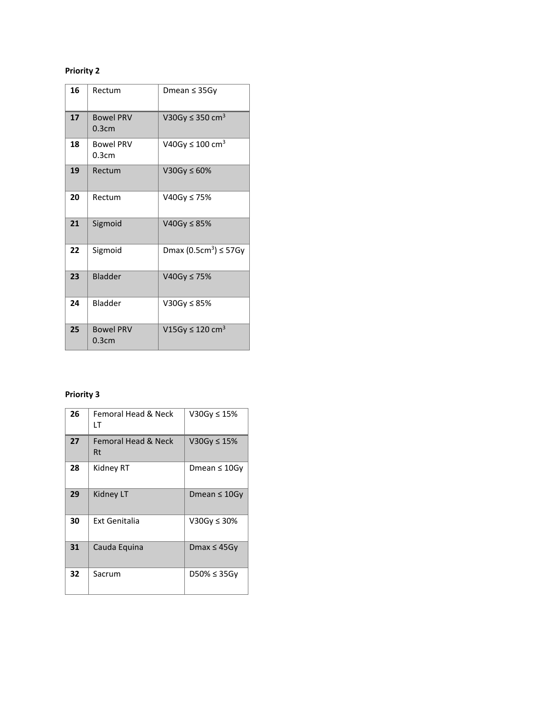# **Priority 2**

| 16 | Rectum                    | Dmean ≤ 35Gy                           |
|----|---------------------------|----------------------------------------|
| 17 | <b>Bowel PRV</b><br>0.3cm | V30Gy $\leq$ 350 cm <sup>3</sup>       |
| 18 | <b>Bowel PRV</b><br>0.3cm | V40Gy ≤ 100 cm <sup>3</sup>            |
| 19 | Rectum                    | V30Gy $\leq 60\%$                      |
| 20 | Rectum                    | V40Gy ≤ 75%                            |
| 21 | Sigmoid                   | V40Gy ≤ $85%$                          |
| 22 | Sigmoid                   | Dmax (0.5cm <sup>3</sup> ) $\leq$ 57Gy |
| 23 | Bladder                   | V40Gy ≤ 75%                            |
| 24 | Bladder                   | V30Gy ≤ 85%                            |
| 25 | <b>Bowel PRV</b><br>0.3cm | V15Gy $\leq$ 120 cm <sup>3</sup>       |

# **Priority 3**

| 26 | Femoral Head & Neck<br>١T | V30Gy ≤ 15%        |
|----|---------------------------|--------------------|
| 27 | Femoral Head & Neck<br>Rt | V30Gy $\leq$ 15%   |
| 28 | Kidney RT                 | Dmean $\leq 10$ Gy |
| 29 | <b>Kidney LT</b>          | Dmean $\leq 10$ Gy |
| 30 | Ext Genitalia             | V30Gy ≤ 30%        |
| 31 | Cauda Equina              | Dmax $\leq 45$ Gy  |
| 32 | Sacrum                    | $D50\% \leq 35Gy$  |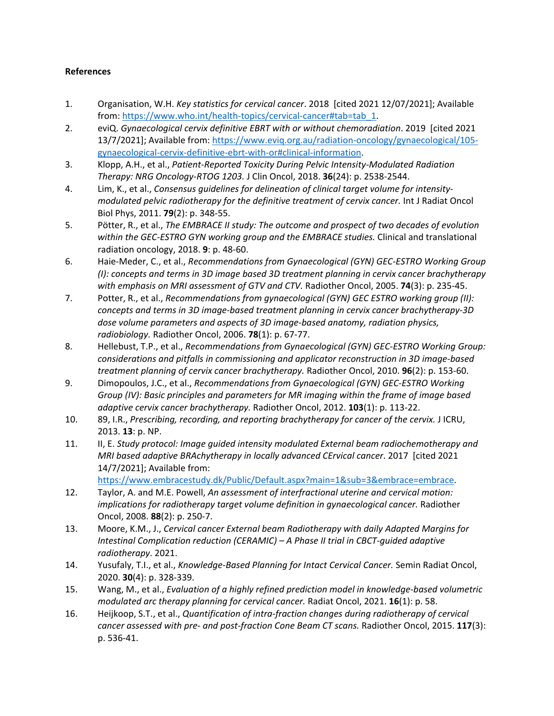# **References**

- 1. Organisation, W.H. *Key statistics for cervical cancer*. 2018 [cited 2021 12/07/2021]; Available from: [https://www.who.int/health-topics/cervical-cancer#tab=tab\\_1.](https://www.who.int/health-topics/cervical-cancer#tab=tab_1)
- 2. eviQ. *Gynaecological cervix definitive EBRT with or without chemoradiation*. 2019 [cited 2021 13/7/2021]; Available from[: https://www.eviq.org.au/radiation-oncology/gynaecological/105](https://www.eviq.org.au/radiation-oncology/gynaecological/105-gynaecological-cervix-definitive-ebrt-with-or#clinical-information) [gynaecological-cervix-definitive-ebrt-with-or#clinical-information.](https://www.eviq.org.au/radiation-oncology/gynaecological/105-gynaecological-cervix-definitive-ebrt-with-or#clinical-information)
- 3. Klopp, A.H., et al., *Patient-Reported Toxicity During Pelvic Intensity-Modulated Radiation Therapy: NRG Oncology-RTOG 1203.* J Clin Oncol, 2018. **36**(24): p. 2538-2544.
- 4. Lim, K., et al., *Consensus guidelines for delineation of clinical target volume for intensitymodulated pelvic radiotherapy for the definitive treatment of cervix cancer.* Int J Radiat Oncol Biol Phys, 2011. **79**(2): p. 348-55.
- 5. Pötter, R., et al., *The EMBRACE II study: The outcome and prospect of two decades of evolution within the GEC-ESTRO GYN working group and the EMBRACE studies.* Clinical and translational radiation oncology, 2018. **9**: p. 48-60.
- 6. Haie-Meder, C., et al., *Recommendations from Gynaecological (GYN) GEC-ESTRO Working Group (I): concepts and terms in 3D image based 3D treatment planning in cervix cancer brachytherapy with emphasis on MRI assessment of GTV and CTV.* Radiother Oncol, 2005. **74**(3): p. 235-45.
- 7. Potter, R., et al., *Recommendations from gynaecological (GYN) GEC ESTRO working group (II): concepts and terms in 3D image-based treatment planning in cervix cancer brachytherapy-3D dose volume parameters and aspects of 3D image-based anatomy, radiation physics, radiobiology.* Radiother Oncol, 2006. **78**(1): p. 67-77.
- 8. Hellebust, T.P., et al., *Recommendations from Gynaecological (GYN) GEC-ESTRO Working Group: considerations and pitfalls in commissioning and applicator reconstruction in 3D image-based treatment planning of cervix cancer brachytherapy.* Radiother Oncol, 2010. **96**(2): p. 153-60.
- 9. Dimopoulos, J.C., et al., *Recommendations from Gynaecological (GYN) GEC-ESTRO Working Group (IV): Basic principles and parameters for MR imaging within the frame of image based adaptive cervix cancer brachytherapy.* Radiother Oncol, 2012. **103**(1): p. 113-22.
- 10. 89, I.R., *Prescribing, recording, and reporting brachytherapy for cancer of the cervix.* J ICRU, 2013. **13**: p. NP.
- 11. II, E. *Study protocol: Image guided intensity modulated External beam radiochemotherapy and MRI based adaptive BRAchytherapy in locally advanced CErvical cancer*. 2017 [cited 2021 14/7/2021]; Available from:

[https://www.embracestudy.dk/Public/Default.aspx?main=1&sub=3&embrace=embrace.](https://www.embracestudy.dk/Public/Default.aspx?main=1&sub=3&embrace=embrace)

- 12. Taylor, A. and M.E. Powell, *An assessment of interfractional uterine and cervical motion: implications for radiotherapy target volume definition in gynaecological cancer.* Radiother Oncol, 2008. **88**(2): p. 250-7.
- 13. Moore, K.M., J., *Cervical cancer External beam Radiotherapy with daily Adapted Margins for Intestinal Complication reduction (CERAMIC) – A Phase II trial in CBCT-guided adaptive radiotherapy*. 2021.
- 14. Yusufaly, T.I., et al., *Knowledge-Based Planning for Intact Cervical Cancer.* Semin Radiat Oncol, 2020. **30**(4): p. 328-339.
- 15. Wang, M., et al., *Evaluation of a highly refined prediction model in knowledge-based volumetric modulated arc therapy planning for cervical cancer.* Radiat Oncol, 2021. **16**(1): p. 58.
- 16. Heijkoop, S.T., et al., *Quantification of intra-fraction changes during radiotherapy of cervical cancer assessed with pre- and post-fraction Cone Beam CT scans.* Radiother Oncol, 2015. **117**(3): p. 536-41.